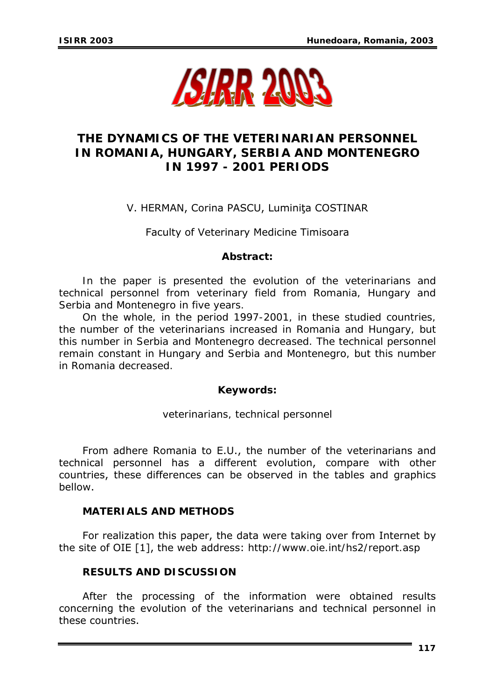

# **THE DYNAMICS OF THE VETERINARIAN PERSONNEL IN ROMANIA, HUNGARY, SERBIA AND MONTENEGRO IN 1997 - 2001 PERIODS**

## V. HERMAN, Corina PASCU, Luminiţa COSTINAR

Faculty of Veterinary Medicine Timisoara

#### *Abstract:*

*In the paper is presented the evolution of the veterinarians and technical personnel from veterinary field from Romania, Hungary and Serbia and Montenegro in five years.* 

*On the whole, in the period 1997-2001, in these studied countries, the number of the veterinarians increased in Romania and Hungary, but this number in Serbia and Montenegro decreased. The technical personnel remain constant in Hungary and Serbia and Montenegro, but this number in Romania decreased.* 

#### *Keywords***:**

*veterinarians, technical personnel* 

From adhere Romania to E.U., the number of the veterinarians and technical personnel has a different evolution, compare with other countries, these differences can be observed in the tables and graphics bellow.

#### **MATERIALS AND METHODS**

For realization this paper, the data were taking over from Internet by the site of OIE [1], the web address: *<http://www.oie.int/hs2/report.asp>*

## **RESULTS AND DISCUSSION**

After the processing of the information were obtained results concerning the evolution of the veterinarians and technical personnel in these countries.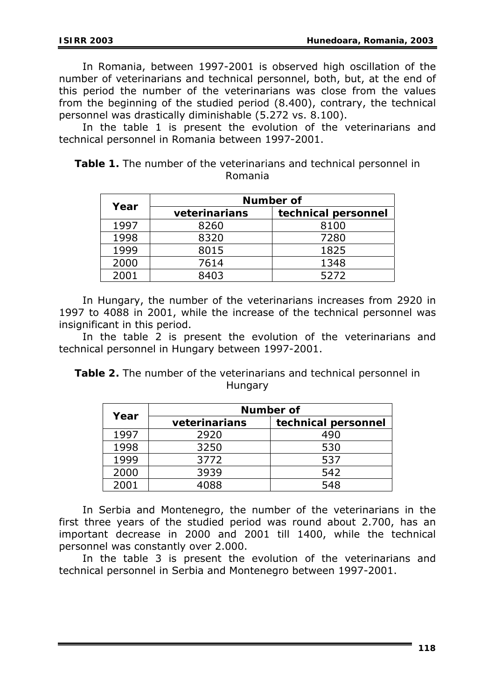In Romania, between 1997-2001 is observed high oscillation of the number of veterinarians and technical personnel, both, but, at the end of this period the number of the veterinarians was close from the values from the beginning of the studied period (8.400), contrary, the technical personnel was drastically diminishable (5.272 vs. 8.100).

In the table 1 is present the evolution of the veterinarians and technical personnel in Romania between 1997-2001.

|  | Table 1. The number of the veterinarians and technical personnel in |
|--|---------------------------------------------------------------------|
|  | Romania                                                             |

| Year | Number of     |                     |  |  |
|------|---------------|---------------------|--|--|
|      | veterinarians | technical personnel |  |  |
| 1997 | 8260          | 8100                |  |  |
| 1998 | 8320          | 7280                |  |  |
| 1999 | 8015          | 1825                |  |  |
| 2000 | 7614          | 1348                |  |  |
| 2001 | 8403          | 5272                |  |  |

In Hungary, the number of the veterinarians increases from 2920 in 1997 to 4088 in 2001, while the increase of the technical personnel was insignificant in this period.

In the table 2 is present the evolution of the veterinarians and technical personnel in Hungary between 1997-2001.

*Table 2. The number of the veterinarians and technical personnel in Hungary* 

|      | Number of     |                     |  |  |
|------|---------------|---------------------|--|--|
| Year | veterinarians | technical personnel |  |  |
| 1997 | 2920          | 490                 |  |  |
| 1998 | 3250          | 530                 |  |  |
| 1999 | 3772          | 537                 |  |  |
| 2000 | 3939          | 542                 |  |  |
| 2001 | 4088          | 548                 |  |  |

In Serbia and Montenegro, the number of the veterinarians in the first three years of the studied period was round about 2.700, has an important decrease in 2000 and 2001 till 1400, while the technical personnel was constantly over 2.000.

In the table 3 is present the evolution of the veterinarians and technical personnel in Serbia and Montenegro between 1997-2001.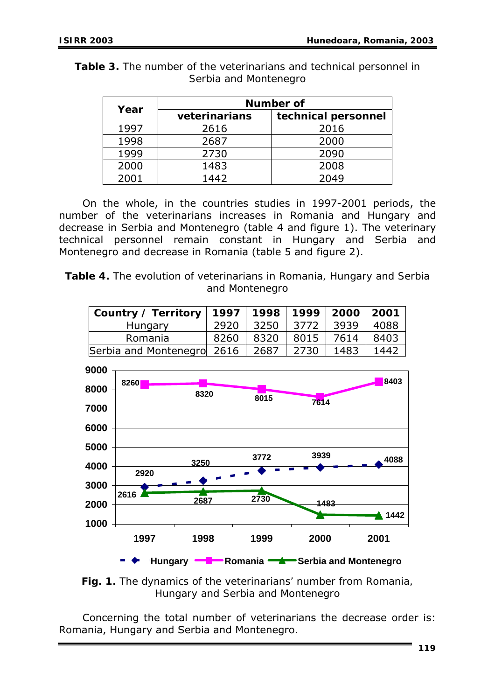| Year | Number of     |                     |  |  |
|------|---------------|---------------------|--|--|
|      | veterinarians | technical personnel |  |  |
| 1997 | 2616          | 2016                |  |  |
| 1998 | 2687          | 2000                |  |  |
| 1999 | 2730          | 2090                |  |  |
| 2000 | 1483          | 2008                |  |  |
| 2001 | 1442          | 2049                |  |  |

*Table 3. The number of the veterinarians and technical personnel in Serbia and Montenegro* 

On the whole, in the countries studies in 1997-2001 periods, the number of the veterinarians increases in Romania and Hungary and decrease in Serbia and Montenegro (table 4 and figure 1). The veterinary technical personnel remain constant in Hungary and Serbia and Montenegro and decrease in Romania (table 5 and figure 2).

*Table 4. The evolution of veterinarians in Romania, Hungary and Serbia and Montenegro* 

| Country / Territory        | 1997 | 1998 | 1999 | 2000 | 2001 |
|----------------------------|------|------|------|------|------|
| Hungary                    | 2920 | 3250 | 3772 | 3939 | 4088 |
| Romania                    | 8260 | 8320 | 8015 | 7614 | 8403 |
| Serbia and Montenegro      | 2616 | 2687 | 2730 | 1483 | 1442 |
| 9000                       |      |      |      |      |      |
| <b>8260</b><br><b>2000</b> |      |      |      |      | 8403 |



*Fig. 1. The dynamics of the veterinarians' number from Romania, Hungary and Serbia and Montenegro* 

Concerning the total number of veterinarians the decrease order is: Romania, Hungary and Serbia and Montenegro.